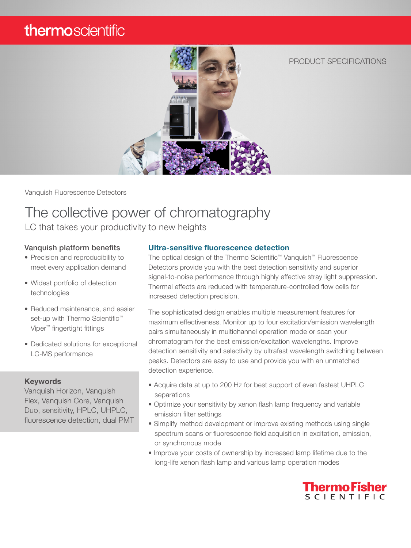## thermoscientific



Vanquish Fluorescence Detectors

# The collective power of chromatography

LC that takes your productivity to new heights

#### Vanquish platform benefits

- Precision and reproducibility to meet every application demand
- Widest portfolio of detection technologies
- Reduced maintenance, and easier set-up with Thermo Scientific<sup>™</sup> Viper™ fingertight fittings
- Dedicated solutions for exceptional LC-MS performance

#### **Keywords**

Vanquish Horizon, Vanquish Flex, Vanquish Core, Vanquish Duo, sensitivity, HPLC, UHPLC, fluorescence detection, dual PMT

#### Ultra-sensitive fluorescence detection

The optical design of the Thermo Scientific™ Vanquish™ Fluorescence Detectors provide you with the best detection sensitivity and superior signal-to-noise performance through highly effective stray light suppression. Thermal effects are reduced with temperature-controlled flow cells for increased detection precision.

The sophisticated design enables multiple measurement features for maximum effectiveness. Monitor up to four excitation/emission wavelength pairs simultaneously in multichannel operation mode or scan your chromatogram for the best emission/excitation wavelengths. Improve detection sensitivity and selectivity by ultrafast wavelength switching between peaks. Detectors are easy to use and provide you with an unmatched detection experience.

- Acquire data at up to 200 Hz for best support of even fastest UHPLC separations
- Optimize your sensitivity by xenon flash lamp frequency and variable emission filter settings
- Simplify method development or improve existing methods using single spectrum scans or fluorescence field acquisition in excitation, emission, or synchronous mode
- Improve your costs of ownership by increased lamp lifetime due to the long-life xenon flash lamp and various lamp operation modes



PRODUCT SPECIFICATIONS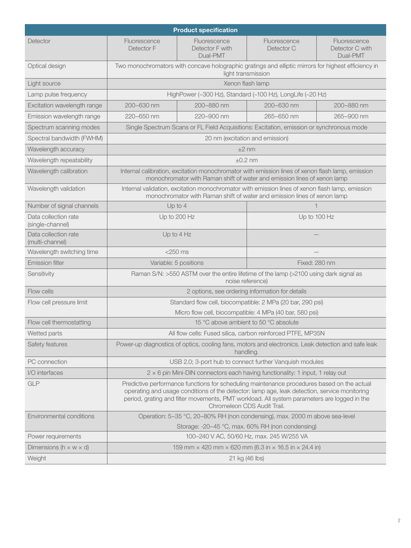| <b>Product specification</b>             |                                                                                                                                                                                                                                                                                                                          |                                             |                            |                                             |  |
|------------------------------------------|--------------------------------------------------------------------------------------------------------------------------------------------------------------------------------------------------------------------------------------------------------------------------------------------------------------------------|---------------------------------------------|----------------------------|---------------------------------------------|--|
| Detector                                 | Fluorescence<br>Detector F                                                                                                                                                                                                                                                                                               | Fluorescence<br>Detector F with<br>Dual-PMT | Fluorescence<br>Detector C | Fluorescence<br>Detector C with<br>Dual-PMT |  |
| Optical design                           | Two monochromators with concave holographic gratings and elliptic mirrors for highest efficiency in<br>light transmission                                                                                                                                                                                                |                                             |                            |                                             |  |
| Light source                             | Xenon flash lamp                                                                                                                                                                                                                                                                                                         |                                             |                            |                                             |  |
| Lamp pulse frequency                     | HighPower (~300 Hz), Standard (~100 Hz), LongLife (~20 Hz)                                                                                                                                                                                                                                                               |                                             |                            |                                             |  |
| Excitation wavelength range              | 200-630 nm                                                                                                                                                                                                                                                                                                               | 200-880 nm                                  | 200-630 nm                 | 200-880 nm                                  |  |
| Emission wavelength range                | 220-650 nm                                                                                                                                                                                                                                                                                                               | 220-900 nm                                  | 265-650 nm                 | 265-900 nm                                  |  |
| Spectrum scanning modes                  | Single Spectrum Scans or FL Field Acquisitions: Excitation, emission or synchronous mode                                                                                                                                                                                                                                 |                                             |                            |                                             |  |
| Spectral bandwidth (FWHM)                | 20 nm (excitation and emission)                                                                                                                                                                                                                                                                                          |                                             |                            |                                             |  |
| Wavelength accuracy                      | $±2$ nm                                                                                                                                                                                                                                                                                                                  |                                             |                            |                                             |  |
| Wavelength repeatability                 | $\pm 0.2$ nm                                                                                                                                                                                                                                                                                                             |                                             |                            |                                             |  |
| Wavelength calibration                   | Internal calibration, excitation monochromator with emission lines of xenon flash lamp, emission<br>monochromator with Raman shift of water and emission lines of xenon lamp                                                                                                                                             |                                             |                            |                                             |  |
| Wavelength validation                    | Internal validation, excitation monochromator with emission lines of xenon flash lamp, emission<br>monochromator with Raman shift of water and emission lines of xenon lamp                                                                                                                                              |                                             |                            |                                             |  |
| Number of signal channels                | Up to $4$                                                                                                                                                                                                                                                                                                                |                                             |                            |                                             |  |
| Data collection rate<br>(single-channel) | Up to 200 Hz                                                                                                                                                                                                                                                                                                             |                                             | Up to 100 Hz               |                                             |  |
| Data collection rate<br>(multi-channel)  | Up to 4 Hz                                                                                                                                                                                                                                                                                                               |                                             |                            |                                             |  |
| Wavelength switching time                | $<$ 250 ms                                                                                                                                                                                                                                                                                                               |                                             |                            |                                             |  |
| <b>Emission filter</b>                   | Variable: 5 positions                                                                                                                                                                                                                                                                                                    |                                             | Fixed: 280 nm              |                                             |  |
| Sensitivity                              | Raman S/N: >550 ASTM over the entire lifetime of the lamp (>2100 using dark signal as<br>noise reference)                                                                                                                                                                                                                |                                             |                            |                                             |  |
| Flow cells                               | 2 options, see ordering information for details                                                                                                                                                                                                                                                                          |                                             |                            |                                             |  |
| Flow cell pressure limit                 | Standard flow cell, biocompatible: 2 MPa (20 bar, 290 psi)                                                                                                                                                                                                                                                               |                                             |                            |                                             |  |
|                                          | Micro flow cell, biocompatible: 4 MPa (40 bar, 580 psi)                                                                                                                                                                                                                                                                  |                                             |                            |                                             |  |
| Flow cell thermostatting                 | 15 °C above ambient to 50 °C absolute                                                                                                                                                                                                                                                                                    |                                             |                            |                                             |  |
| Wetted parts                             | All flow cells: Fused silica, carbon reinforced PTFE, MP35N                                                                                                                                                                                                                                                              |                                             |                            |                                             |  |
| Safety features                          | Power-up diagnostics of optics, cooling fans, motors and electronics. Leak detection and safe leak<br>handling.                                                                                                                                                                                                          |                                             |                            |                                             |  |
| PC connection                            | USB 2.0; 3-port hub to connect further Vanquish modules                                                                                                                                                                                                                                                                  |                                             |                            |                                             |  |
| I/O interfaces                           | $2 \times 6$ pin Mini-DIN connectors each having functionality: 1 input, 1 relay out                                                                                                                                                                                                                                     |                                             |                            |                                             |  |
| <b>GLP</b>                               | Predictive performance functions for scheduling maintenance procedures based on the actual<br>operating and usage conditions of the detector: lamp age, leak detection, service monitoring<br>period, grating and filter movements, PMT workload. All system parameters are logged in the<br>Chromeleon CDS Audit Trail. |                                             |                            |                                             |  |
| Environmental conditions                 | Operation: 5-35 °C, 20-80% RH (non condensing), max. 2000 m above sea-level                                                                                                                                                                                                                                              |                                             |                            |                                             |  |
|                                          | Storage: -20-45 °C, max. 60% RH (non condensing)                                                                                                                                                                                                                                                                         |                                             |                            |                                             |  |
| Power requirements                       | 100-240 V AC, 50/60 Hz, max. 245 W/255 VA                                                                                                                                                                                                                                                                                |                                             |                            |                                             |  |
| Dimensions ( $h \times w \times d$ )     | 159 mm $\times$ 420 mm $\times$ 620 mm (6.3 in $\times$ 16.5 in $\times$ 24.4 in)                                                                                                                                                                                                                                        |                                             |                            |                                             |  |
| Weight                                   | 21 kg (46 lbs)                                                                                                                                                                                                                                                                                                           |                                             |                            |                                             |  |